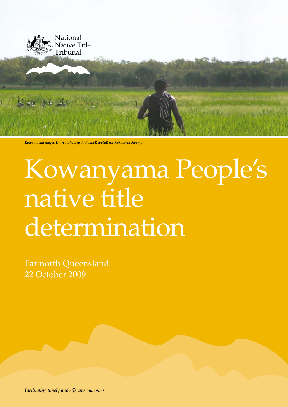

*Kowanyama ranger, Darren Birchley, in PvnpeR wvtaR (or Kokoberra Swamp).*

# Kowanyama People's native title determination

Far north Queensland 22 October 2009

*Facilitating timely and effective outcomes.*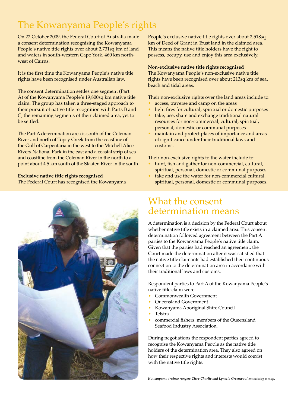# The Kowanyama People's rights

On 22 October 2009, the Federal Court of Australia made a consent determination recognising the Kowanyama People's native title rights over about 2,731sq km of land and waters in south-western Cape York, 460 km northwest of Cairns.

It is the first time the Kowanyama People's native title rights have been recognised under Australian law.

The consent determination settles one segment (Part A) of the Kowanyama People's 19,800sq km native title claim. The group has taken a three-staged approach to their pursuit of native title recognition with Parts B and C, the remaining segments of their claimed area, yet to be settled.

The Part A determination area is south of the Coleman River and north of Topsy Creek from the coastline of the Gulf of Carpentaria in the west to the Mitchell Alice Rivers National Park in the east and a coastal strip of sea and coastline from the Coleman River in the north to a point about 4.5 km south of the Staaten River in the south.

#### **Exclusive native title rights recognised**

The Federal Court has recognised the Kowanyama



People's exclusive native title rights over about 2,518sq km of Deed of Grant in Trust land in the claimed area. This means the native title holders have the right to possess, occupy, use and enjoy this area exclusively.

#### **Non-exclusive native title rights recognised**

The Kowanyama People's non-exclusive native title rights have been recognised over about 213sq km of sea, beach and tidal areas.

Their non-exclusive rights over the land areas include to:

- access, traverse and camp on the areas
- light fires for cultural, spiritual or domestic purposes
- take, use, share and exchange traditional natural resources for non-commercial, cultural, spiritual, personal, domestic or communal purposes
- maintain and protect places of importance and areas of significance under their traditional laws and customs.

Their non-exclusive rights to the water include to:

- hunt, fish and gather for non-commercial, cultural, spiritual, personal, domestic or communal purposes
- take and use the water for non-commercial cultural, spiritual, personal, domestic or communal purposes.

## What the consent determination means

A determination is a decision by the Federal Court about whether native title exists in a claimed area. This consent determination followed agreement between the Part A parties to the Kowanyama People's native title claim. Given that the parties had reached an agreement, the Court made the determination after it was satisfied that the native title claimants had established their continuous connection to the determination area in accordance with their traditional laws and customs.

Respondent parties to Part A of the Kowanyama People's native title claim were:

- Commonwealth Government
- Queensland Government
- Kowanyama Aboriginal Shire Council
- Telstra
- commercial fishers, members of the Queensland Seafood Industry Association.

During negotiations the respondent parties agreed to recognise the Kowanyama People as the native title holders of the determination area. They also agreed on how their respective rights and interests would coexist with the native title rights.

*Kowanyama trainee rangers Clive Charlie and Lynette Greenwool examining a map.*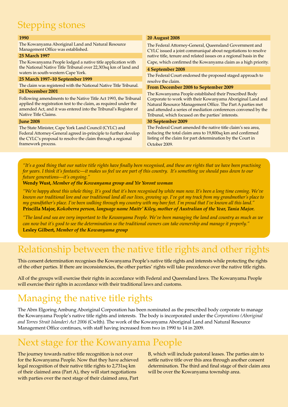# Stepping stones

#### **1990**

The Kowanyama Aboriginal Land and Natural Resource Management Office was established.

#### **25 March 1997**

The Kowanyama People lodged a native title application with the National Native Title Tribunal over 22,303sq km of land and waters in south-western Cape York.

#### **25 March 1997–10 September 1999**

The claim was registered with the National Native Title Tribunal. **24 December 2001**

Following amendments to the Native Title Act 1993, the Tribunal applied the registration test to the claim, as required under the amended Act, and it was entered into the Tribunal's Register of Native Title Claims.

#### **June 2008**

The State Minister, Cape York Land Council (CYLC) and Federal Attorney-General agreed in-principle to further develop the CYLC's proposal to resolve the claim through a regional framework process.

#### **20 August 2008**

The Federal Attorney-General, Queensland Government and CYLC issued a joint communiqué about negotiations to resolve native title, tenure and related issues on a regional basis in the Cape, which confirmed the Kowanyama claim as a high priority.

#### **4 September 2008**

The Federal Court endorsed the proposed staged approach to resolve the claim.

#### **From December 2008 to September 2009**

The Kowanyama People established their Prescribed Body Corporate to work with their Kowanyama Aboriginal Land and Natural Resource Management Office. The Part A parties met and attended a series of mediation conferences convened by the Tribunal, which focused on the parties' interests.

#### **30 September 2009**

The Federal Court amended the native title claim's sea area, reducing the total claim area to 19,800sq km and confirmed listing of the claim for part determination by the Court in October 2009.

*"It's a good thing that our native title rights have finally been recognised, and these are rights that we have been practising for years. I think it's fantastic—it makes us feel we are part of this country. It's something we should pass down to our future generations—it's ongoing."* 

#### **Wendy Wust,** *Member of the Kowanyama group and Yir Yoront woman*

*"We're happy about this whole thing. It's good that it's been recognised by white man now. It's been a long time coming. We've known our traditional lore and our traditional land all our lives, growing up. I've got my track from my grandmother's place to my grandfather's place. I've been walking through my country with my bare feet. I'm proud that I've known all this land."* **Priscilla Major,** *Kokoberra person, language name Maitr' Kiley, mother of Australian of the Year, Tania Major.*

*"The land and sea are very important to the Kowanyama People. We've been managing the land and country as much as we can now but it's good to see the determination so the traditional owners can take ownership and manage it properly."* **Lesley Gilbert,** *Member of the Kowanyama group*

## Relationship between the native title rights and other rights

This consent determination recognises the Kowanyama People's native title rights and interests while protecting the rights of the other parties. If there are inconsistencies, the other parties' rights will take precedence over the native title rights.

All of the groups will exercise their rights in accordance with Federal and Queensland laws. The Kowanyama People will exercise their rights in accordance with their traditional laws and customs.

# Managing the native title rights

The Abm Elgoring Ambung Aboriginal Corporation has been nominated as the prescribed body corporate to manage the Kowanyama People's native title rights and interests. The body is incorporated under the *Corporations (Aboriginal and Torres Strait Islander) Act 2006* (Cwlth). The work of the Kowanyama Aboriginal Land and Natural Resource Management Office continues, with staff having increased from two in 1990 to 14 in 2009.

### Next stage for the Kowanyama People

The journey towards native title recognition is not over for the Kowanyama People. Now that they have achieved legal recognition of their native title rights to 2,731sq km of their claimed area (Part A), they will start negotiations with parties over the next stage of their claimed area, Part

B, which will include pastoral leases. The parties aim to settle native title over this area through another consent determination. The third and final stage of their claim area will be over the Kowanyama township area.